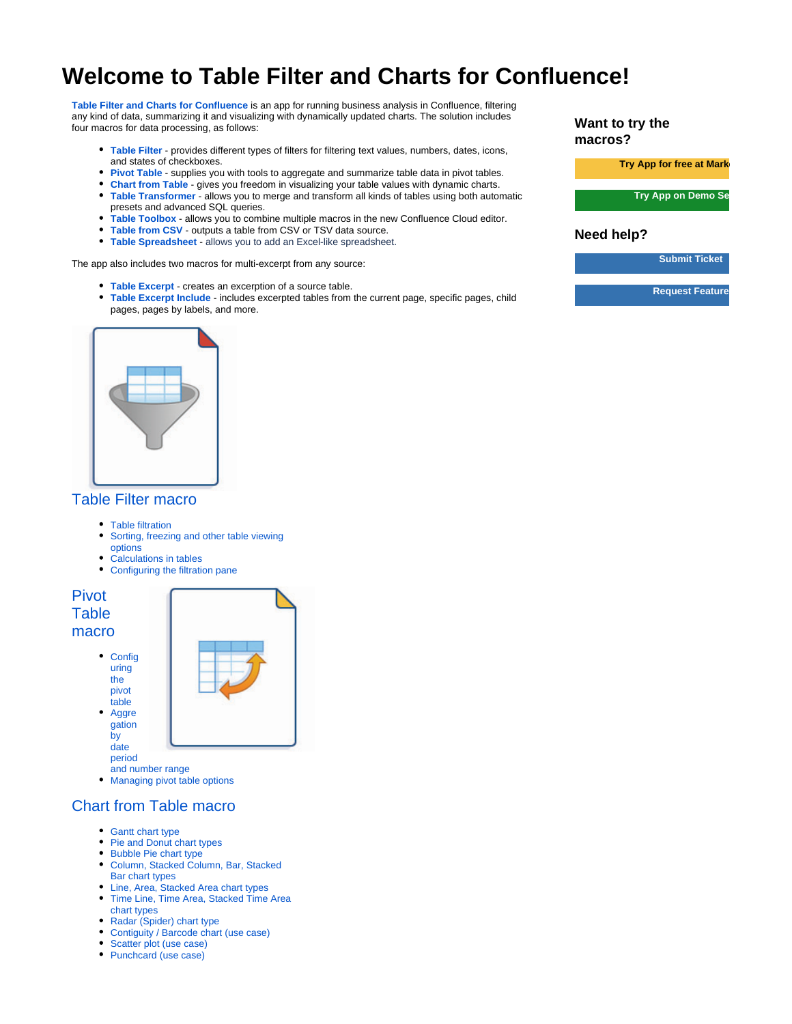## **Welcome to Table Filter and Charts for Confluence!**

**[Table Filter and Charts for Confluence](https://marketplace.atlassian.com/apps/27447/table-filter-and-charts-for-confluence?hosting=server&tab=overview&from=documentation)** is an app for running business analysis in Confluence, filtering any kind of data, summarizing it and visualizing with dynamically updated charts. The solution includes four macros for data processing, as follows:

- **[Table Filter](https://docs.stiltsoft.com/display/TFAC/How+to+use+Table+Filter+macro)** provides different types of filters for filtering text values, numbers, dates, icons, and states of checkboxes.
- **[Pivot Table](https://docs.stiltsoft.com/display/TFAC/How+to+use+Pivot+Table+macro)** supplies you with tools to aggregate and summarize table data in pivot tables.
- **[Chart from Table](https://docs.stiltsoft.com/display/TFAC/How+to+use+Chart+from+Table+macro)** gives you freedom in visualizing your table values with dynamic charts.
- **[Table Transformer](https://docs.stiltsoft.com/display/TFAC/How+to+use+Table+Transformer+macro)** allows you to merge and transform all kinds of tables using both automatic presets and advanced SQL queries.
- **[Table Toolbox](https://docs.stiltsoft.com/display/TFAC/How+to+use+Table+Toolbox+macro?src=contextnavpagetreemode)** allows you to combine multiple macros in the new Confluence Cloud editor.
- **[Table from CSV](https://docs.stiltsoft.com/display/TFAC/How+to+use+Table+from+CSV+macro)** outputs a table from CSV or TSV data source.
- **[Table Spreadsheet](https://docs.stiltsoft.com/display/TFAC/How+to+Use+Table+Spreadsheet+Macro)** allows you to add an Excel-like spreadsheet.

The app also includes two macros for multi-excerpt from any source:

- **[Table Excerpt](https://docs.stiltsoft.com/display/TFAC/How+to+use+Table+Excerpt+and+Table+Excerpt+Include+macros)** creates an excerption of a source table.
- **[Table Excerpt Include](https://docs.stiltsoft.com/display/TFAC/How+to+use+Table+Excerpt+and+Table+Excerpt+Include+macros#HowtouseTableExcerptandTableExcerptIncludemacros-UsingtheTableExcerptIncludeMacro)** includes excerpted tables from the current page, specific pages, child pages, pages by labels, and more.



## [Table Filter macro](https://docs.stiltsoft.com/display/TFAC/How+to+use+Table+Filter+macro)

- [Table filtration](https://docs.stiltsoft.com/display/TFAC/Table+filtration)
- $\bullet$ [Sorting, freezing and other table viewing](https://docs.stiltsoft.com/display/TFAC/Sorting%2C+freezing+and+other+table+viewing+options)  [options](https://docs.stiltsoft.com/display/TFAC/Sorting%2C+freezing+and+other+table+viewing+options)
- [Calculations in tables](https://docs.stiltsoft.com/display/TFAC/Calculations+in+tables)
- [Configuring the filtration pane](https://docs.stiltsoft.com/display/TFAC/Configuring+the+filtration+pane)

[Pivot](https://docs.stiltsoft.com/display/TFAC/How+to+use+Pivot+Table+macro)  **Table** [macro](https://docs.stiltsoft.com/display/TFAC/How+to+use+Pivot+Table+macro)

> • [Config](https://docs.stiltsoft.com/display/TFAC/Configuring+the+pivot+table) [uring](https://docs.stiltsoft.com/display/TFAC/Configuring+the+pivot+table)  [the](https://docs.stiltsoft.com/display/TFAC/Configuring+the+pivot+table)  [pivot](https://docs.stiltsoft.com/display/TFAC/Configuring+the+pivot+table)

[table](https://docs.stiltsoft.com/display/TFAC/Configuring+the+pivot+table)  $\bullet$ [Aggre](https://docs.stiltsoft.com/display/TFAC/Aggregation+by+date+period+and+number+range) [gation](https://docs.stiltsoft.com/display/TFAC/Aggregation+by+date+period+and+number+range) [by](https://docs.stiltsoft.com/display/TFAC/Aggregation+by+date+period+and+number+range)  [date](https://docs.stiltsoft.com/display/TFAC/Aggregation+by+date+period+and+number+range) 

[period](https://docs.stiltsoft.com/display/TFAC/Aggregation+by+date+period+and+number+range) [and number range](https://docs.stiltsoft.com/display/TFAC/Aggregation+by+date+period+and+number+range)

• [Managing pivot table options](https://docs.stiltsoft.com/display/TFAC/Managing+pivot+table+options)

- [Chart from Table macro](https://docs.stiltsoft.com/display/TFAC/How+to+use+Chart+from+Table+macro)
	- [Gantt chart type](https://docs.stiltsoft.com/display/TFAC/Gantt+chart+type)
	- [Pie and Donut chart types](https://docs.stiltsoft.com/display/TFAC/Pie+and+Donut+chart+types)
	- [Bubble Pie chart type](https://docs.stiltsoft.com/display/TFAC/Bubble+Pie+chart+type)
	- [Column, Stacked Column, Bar, Stacked](https://docs.stiltsoft.com/display/TFAC/Column%2C+Stacked+Column%2C+Bar%2C+Stacked+Bar+chart+types)  [Bar chart types](https://docs.stiltsoft.com/display/TFAC/Column%2C+Stacked+Column%2C+Bar%2C+Stacked+Bar+chart+types)
	- [Line, Area, Stacked Area chart types](https://docs.stiltsoft.com/display/TFAC/Line%2C+Area%2C+Stacked+Area+chart+types)
	- [Time Line, Time Area, Stacked Time Area](https://docs.stiltsoft.com/display/TFAC/Time+Line%2C+Time+Area%2C+Stacked+Time+Area+chart+types)  [chart types](https://docs.stiltsoft.com/display/TFAC/Time+Line%2C+Time+Area%2C+Stacked+Time+Area+chart+types)
	- [Radar \(Spider\) chart type](https://docs.stiltsoft.com/display/TFAC/Radar+%28Spider%29+chart+type)
	- [Contiguity / Barcode chart \(use case\)](https://docs.stiltsoft.com/pages/viewpage.action?pageId=50694577)
	- [Scatter plot \(use case\)](https://docs.stiltsoft.com/pages/viewpage.action?pageId=50695741)
	- [Punchcard \(use case\)](https://docs.stiltsoft.com/pages/viewpage.action?pageId=50695744)

**Want to try the macros?**

**Try App for free at Market** 

**Try App on Demo Se** 

## **Need help?**

**[Submit Ticket](https://jsd.stiltsoft.com/servicedesk/customer/portal/2)**

**[Request Feature](https://stiltsoft.customercase.com/forums/table-filter-for-confluence)**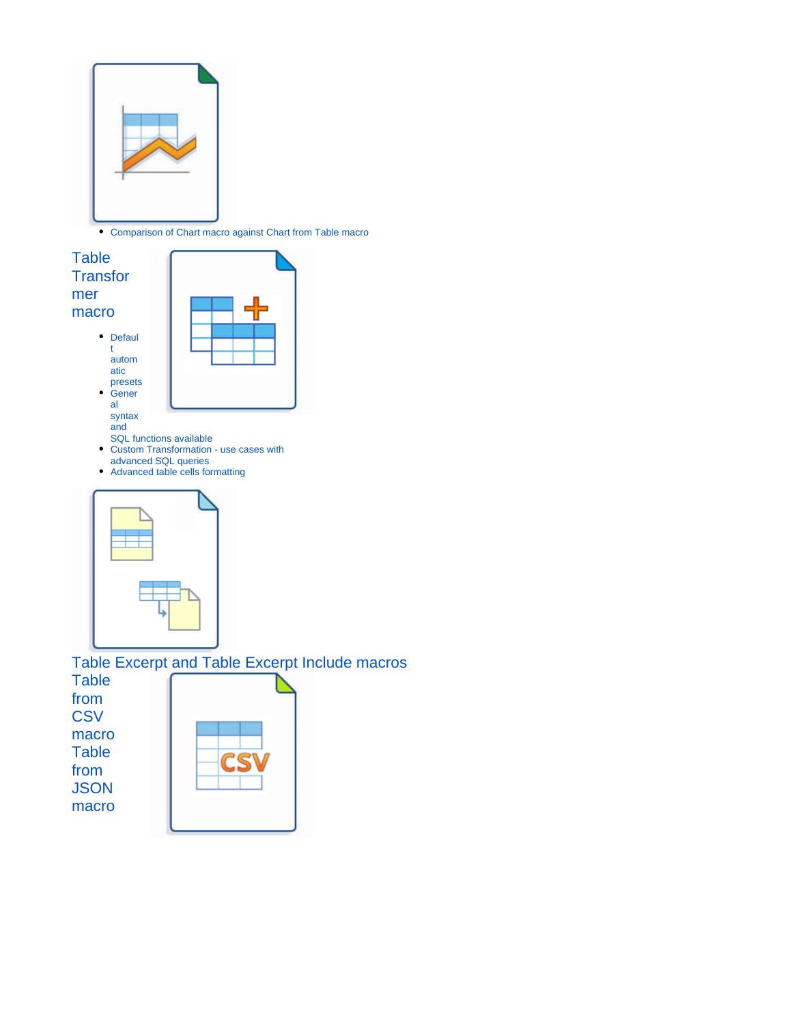

[Comparison of Chart macro against Chart from Table macro](https://docs.stiltsoft.com/display/TFAC/Comparison+of+Chart+macro+against+Chart+from+Table+macro)



[from](https://docs.stiltsoft.com/display/TFAC/How+to+use+Table+from+JSON+macro)  **JSON** [macro](https://docs.stiltsoft.com/display/TFAC/How+to+use+Table+from+JSON+macro)